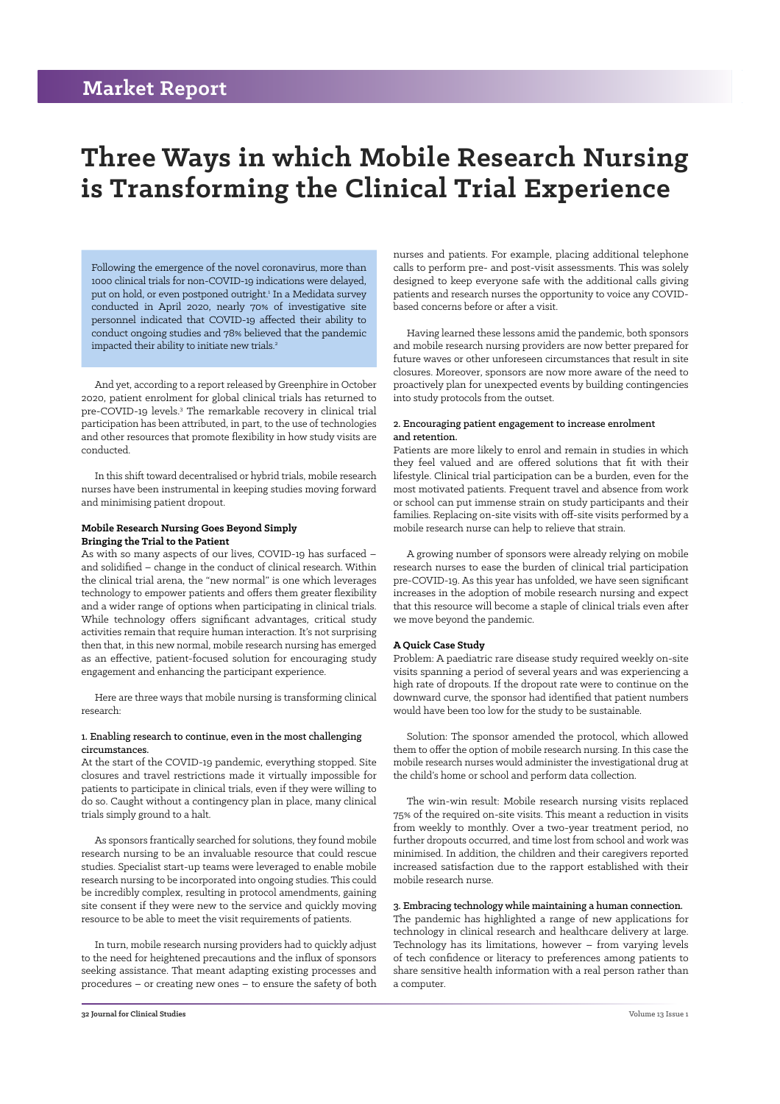## **Market Report**

# **Three Ways in which Mobile Research Nursing is Transforming the Clinical Trial Experience**

Following the emergence of the novel coronavirus, more than 1000 clinical trials for non-COVID-19 indications were delayed, put on hold, or even postponed outright.<sup>1</sup> In a Medidata survey conducted in April 2020, nearly 70% of investigative site personnel indicated that COVID-19 affected their ability to conduct ongoing studies and 78% believed that the pandemic impacted their ability to initiate new trials.<sup>2</sup>

And yet, according to a report released by Greenphire in October 2020, patient enrolment for global clinical trials has returned to pre-COVID-19 levels.<sup>3</sup> The remarkable recovery in clinical trial participation has been attributed, in part, to the use of technologies and other resources that promote flexibility in how study visits are conducted.

In this shift toward decentralised or hybrid trials, mobile research nurses have been instrumental in keeping studies moving forward and minimising patient dropout.

#### **Mobile Research Nursing Goes Beyond Simply Bringing the Trial to the Patient**

As with so many aspects of our lives, COVID-19 has surfaced – and solidified – change in the conduct of clinical research. Within the clinical trial arena, the "new normal" is one which leverages technology to empower patients and offers them greater flexibility and a wider range of options when participating in clinical trials. While technology offers significant advantages, critical study activities remain that require human interaction. It's not surprising then that, in this new normal, mobile research nursing has emerged as an effective, patient-focused solution for encouraging study engagement and enhancing the participant experience.

Here are three ways that mobile nursing is transforming clinical research:

#### 1. Enabling research to continue, even in the most challenging circumstances.

At the start of the COVID-19 pandemic, everything stopped. Site closures and travel restrictions made it virtually impossible for patients to participate in clinical trials, even if they were willing to do so. Caught without a contingency plan in place, many clinical trials simply ground to a halt.

As sponsors frantically searched for solutions, they found mobile research nursing to be an invaluable resource that could rescue studies. Specialist start-up teams were leveraged to enable mobile research nursing to be incorporated into ongoing studies. This could be incredibly complex, resulting in protocol amendments, gaining site consent if they were new to the service and quickly moving resource to be able to meet the visit requirements of patients.

In turn, mobile research nursing providers had to quickly adjust to the need for heightened precautions and the influx of sponsors seeking assistance. That meant adapting existing processes and procedures – or creating new ones – to ensure the safety of both nurses and patients. For example, placing additional telephone calls to perform pre- and post-visit assessments. This was solely designed to keep everyone safe with the additional calls giving patients and research nurses the opportunity to voice any COVIDbased concerns before or after a visit.

Having learned these lessons amid the pandemic, both sponsors and mobile research nursing providers are now better prepared for future waves or other unforeseen circumstances that result in site closures. Moreover, sponsors are now more aware of the need to proactively plan for unexpected events by building contingencies into study protocols from the outset.

#### 2. Encouraging patient engagement to increase enrolment and retention.

Patients are more likely to enrol and remain in studies in which they feel valued and are offered solutions that fit with their lifestyle. Clinical trial participation can be a burden, even for the most motivated patients. Frequent travel and absence from work or school can put immense strain on study participants and their families. Replacing on-site visits with off-site visits performed by a mobile research nurse can help to relieve that strain.

A growing number of sponsors were already relying on mobile research nurses to ease the burden of clinical trial participation pre-COVID-19. As this year has unfolded, we have seen significant increases in the adoption of mobile research nursing and expect that this resource will become a staple of clinical trials even after we move beyond the pandemic.

#### **A Quick Case Study**

Problem: A paediatric rare disease study required weekly on-site visits spanning a period of several years and was experiencing a high rate of dropouts. If the dropout rate were to continue on the downward curve, the sponsor had identified that patient numbers would have been too low for the study to be sustainable.

Solution: The sponsor amended the protocol, which allowed them to offer the option of mobile research nursing. In this case the mobile research nurses would administer the investigational drug at the child's home or school and perform data collection.

The win-win result: Mobile research nursing visits replaced 75% of the required on-site visits. This meant a reduction in visits from weekly to monthly. Over a two-year treatment period, no further dropouts occurred, and time lost from school and work was minimised. In addition, the children and their caregivers reported increased satisfaction due to the rapport established with their mobile research nurse.

#### 3. Embracing technology while maintaining a human connection.

The pandemic has highlighted a range of new applications for technology in clinical research and healthcare delivery at large. Technology has its limitations, however – from varying levels of tech confidence or literacy to preferences among patients to share sensitive health information with a real person rather than a computer.